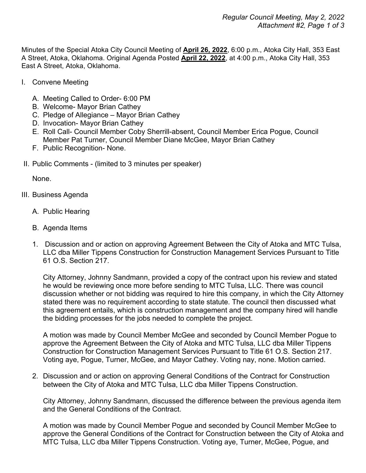Minutes of the Special Atoka City Council Meeting of **April 26, 2022**, 6:00 p.m., Atoka City Hall, 353 East A Street, Atoka, Oklahoma. Original Agenda Posted **April 22, 2022**, at 4:00 p.m., Atoka City Hall, 353 East A Street, Atoka, Oklahoma.

- I. Convene Meeting
	- A. Meeting Called to Order- 6:00 PM
	- B. Welcome- Mayor Brian Cathey
	- C. Pledge of Allegiance Mayor Brian Cathey
	- D. Invocation- Mayor Brian Cathey
	- E. Roll Call- Council Member Coby Sherrill-absent, Council Member Erica Pogue, Council Member Pat Turner, Council Member Diane McGee, Mayor Brian Cathey
	- F. Public Recognition- None.
- II. Public Comments (limited to 3 minutes per speaker)

None.

- III. Business Agenda
	- A. Public Hearing
	- B. Agenda Items
	- 1. Discussion and or action on approving Agreement Between the City of Atoka and MTC Tulsa, LLC dba Miller Tippens Construction for Construction Management Services Pursuant to Title 61 O.S. Section 217.

City Attorney, Johnny Sandmann, provided a copy of the contract upon his review and stated he would be reviewing once more before sending to MTC Tulsa, LLC. There was council discussion whether or not bidding was required to hire this company, in which the City Attorney stated there was no requirement according to state statute. The council then discussed what this agreement entails, which is construction management and the company hired will handle the bidding processes for the jobs needed to complete the project.

A motion was made by Council Member McGee and seconded by Council Member Pogue to approve the Agreement Between the City of Atoka and MTC Tulsa, LLC dba Miller Tippens Construction for Construction Management Services Pursuant to Title 61 O.S. Section 217. Voting aye, Pogue, Turner, McGee, and Mayor Cathey. Voting nay, none. Motion carried.

2. Discussion and or action on approving General Conditions of the Contract for Construction between the City of Atoka and MTC Tulsa, LLC dba Miller Tippens Construction.

City Attorney, Johnny Sandmann, discussed the difference between the previous agenda item and the General Conditions of the Contract.

A motion was made by Council Member Pogue and seconded by Council Member McGee to approve the General Conditions of the Contract for Construction between the City of Atoka and MTC Tulsa, LLC dba Miller Tippens Construction. Voting aye, Turner, McGee, Pogue, and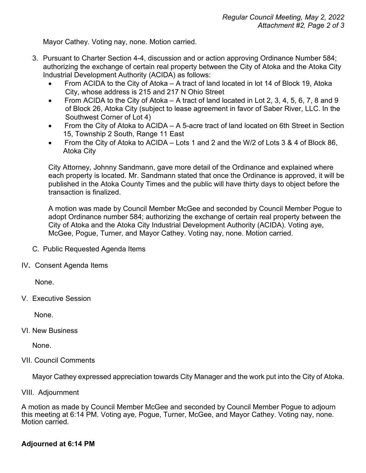Mayor Cathey. Voting nay, none. Motion carried.

- 3. Pursuant to Charter Section 4-4, discussion and or action approving Ordinance Number 584; authorizing the exchange of certain real property between the City of Atoka and the Atoka City Industrial Development Authority (ACIDA) as follows:
	- From ACIDA to the City of Atoka  $-$  A tract of land located in lot 14 of Block 19, Atoka City, whose address is 215 and 217 N Ohio Street
	- From ACIDA to the City of Atoka A tract of land located in Lot 2, 3, 4, 5, 6, 7, 8 and 9 of Block 26, Atoka City (subject to lease agreement in favor of Saber River, LLC. In the Southwest Corner of Lot 4)
	- From the City of Atoka to ACIDA A 5-acre tract of land located on 6th Street in Section 15, Township 2 South, Range 11 East
	- From the City of Atoka to ACIDA Lots 1 and 2 and the W/2 of Lots 3 & 4 of Block 86, Atoka City

City Attorney, Johnny Sandmann, gave more detail of the Ordinance and explained where each property is located. Mr. Sandmann stated that once the Ordinance is approved, it will be published in the Atoka County Times and the public will have thirty days to object before the transaction is finalized.

A motion was made by Council Member McGee and seconded by Council Member Pogue to adopt Ordinance number 584; authorizing the exchange of certain real property between the City of Atoka and the Atoka City Industrial Development Authority (ACIDA). Voting aye, McGee, Pogue, Turner, and Mayor Cathey. Voting nay, none. Motion carried.

- C. Public Requested Agenda Items
- IV**.** Consent Agenda Items

None.

V. Executive Session

None.

VI. New Business

None.

VII. Council Comments

Mayor Cathey expressed appreciation towards City Manager and the work put into the City of Atoka.

VIII. Adjournment

A motion as made by Council Member McGee and seconded by Council Member Pogue to adjourn this meeting at 6:14 PM. Voting aye, Pogue, Turner, McGee, and Mayor Cathey. Voting nay, none. Motion carried.

## **Adjourned at 6:14 PM**